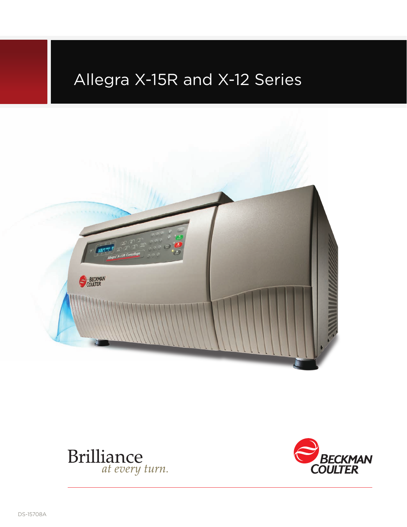# Allegra X-15R and X-12 Series





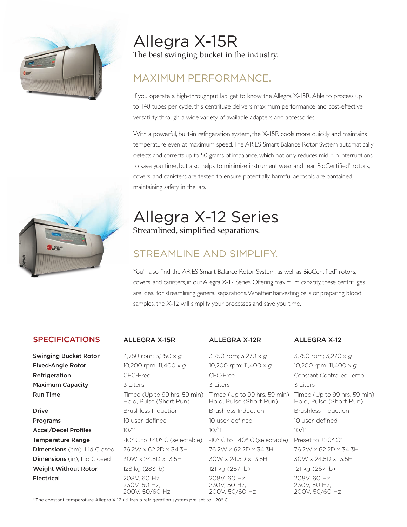

Allegra X-15R The best swinging bucket in the industry.

## maximum performance.

If you operate a high-throughput lab, get to know the Allegra X-15R. Able to process up to 148 tubes per cycle, this centrifuge delivers maximum performance and cost-effective versatility through a wide variety of available adapters and accessories.

With a powerful, built-in refrigeration system, the X-15R cools more quickly and maintains temperature even at maximum speed. The ARIES Smart Balance Rotor System automatically detects and corrects up to 50 grams of imbalance, which not only reduces mid-run interruptions to save you time, but also helps to minimize instrument wear and tear. BioCertified† rotors, covers, and canisters are tested to ensure potentially harmful aerosols are contained, maintaining safety in the lab.

# Allegra X-12 Series

Streamlined, simplified separations.

## STREAMLINE AND SIMPLIEY

You'll also find the ARIES Smart Balance Rotor System, as well as BioCertified† rotors, covers, and canisters, in our Allegra X-12 Series. Offering maximum capacity, these centrifuges are ideal for streamlining general separations. Whether harvesting cells or preparing blood samples, the X-12 will simplify your processes and save you time.

### SPECIFICATIONS ALL EGRA X-15R ALL EGRA X-12R ALL EGRA X-12

**Swinging Bucket Rotor** 4,750 rpm; 5,250 x *g* 3,750 rpm; 3,270 x *g* 3,750 rpm; 3,270 x *g* **Fixed-Angle Rotor** 10,200 rpm; 11,400 x *g* 10,200 rpm; 11,400 x *g* 10,200 rpm; 11,400 x *g* **Refrigeration CFC-Free CFC-Free CFC-Free CFC-Free Constant Controlled Temp. Maximum Capacity** 3 Liters 3 Liters 3 Liters 3 Liters 3 Liters Hold, Pulse (Short Run) **Drive Brushless Induction Brushless Induction Brushless Induction Brushless Induction Programs** 10 user-defined 10 user-defined 10 user-defined 10 user-defined Accel/Decel Profiles 10/11 10/11 10/11 10/11 10/11 **Temperature Range**  $-10^{\circ}$  C to  $+40^{\circ}$  C (selectable)  $-10^{\circ}$  C to  $+40^{\circ}$  C (selectable) Preset to  $+20^{\circ}$  C\* **Dimensions** (cm), Lid Closed  $76.2W \times 62.2D \times 34.3H$   $76.2W \times 62.2D \times 34.3H$   $76.2W \times 62.2D \times 34.3H$ **Dimensions** (in), Lid Closed  $30W \times 24.5D \times 13.5H$   $30W \times 24.5D \times 13.5H$   $30W \times 24.5D \times 13.5H$ **Weight Without Rotor** 128 kg (283 lb) 121 kg (267 lb) 121 kg (267 lb) **Electrical** 208V, 60 Hz; 208V, 60 Hz; 208V, 60 Hz; 208V, 60 Hz; 208V, 60 Hz; 208V, 60 Hz; 230V. 50 Hz; 230V, 50 Hz; 200V, 50/60 Hz 200V, 50/60 Hz 200V, 50/60 Hz

**Run Time** Timed (Up to 99 hrs, 59 min) Timed (Up to 99 hrs, 59 min) Timed (Up to 99 hrs, 59 min)<br>Hold, Pulse (Short Run) Hold, Pulse (Short Run) Hold, Pulse (Short Run)

BECOM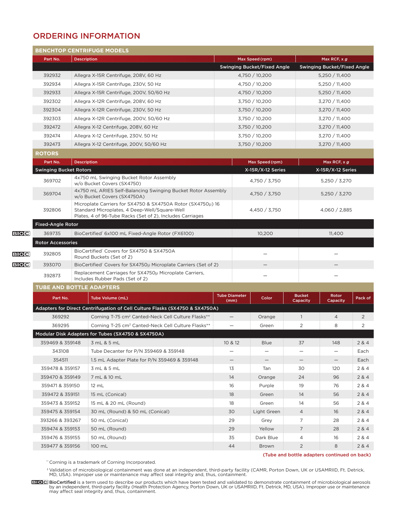### ORDERING INFORMATION

|             |                                 |                    | <b>BENCHTOP CENTRIFUGE MODELS</b>                                                                                                                                         |                              |                                    |                |                           |                                              |                |  |  |  |  |
|-------------|---------------------------------|--------------------|---------------------------------------------------------------------------------------------------------------------------------------------------------------------------|------------------------------|------------------------------------|----------------|---------------------------|----------------------------------------------|----------------|--|--|--|--|
|             | Part No.                        | <b>Description</b> |                                                                                                                                                                           | Max Speed (rpm)              |                                    |                |                           | Max RCF, $x g$                               |                |  |  |  |  |
|             |                                 |                    |                                                                                                                                                                           |                              | <b>Swinging Bucket/Fixed Angle</b> |                |                           | <b>Swinging Bucket/Fixed Angle</b>           |                |  |  |  |  |
|             | 392932                          |                    | Allegra X-15R Centrifuge, 208V, 60 Hz                                                                                                                                     | 4,750 / 10,200               |                                    |                | 5,250 / 11,400            |                                              |                |  |  |  |  |
|             | 392934                          |                    | Allegra X-15R Centrifuge, 230V, 50 Hz                                                                                                                                     |                              |                                    | 4,750 / 10,200 |                           | 5,250 / 11,400                               |                |  |  |  |  |
|             | 392933                          |                    | Allegra X-15R Centrifuge, 200V, 50/60 Hz                                                                                                                                  |                              |                                    | 4,750 / 10,200 |                           |                                              | 5,250 / 11,400 |  |  |  |  |
|             | 392302                          |                    | Allegra X-12R Centrifuge, 208V, 60 Hz                                                                                                                                     |                              |                                    | 3,750 / 10,200 |                           | 3,270 / 11,400                               |                |  |  |  |  |
|             | 392304                          |                    | Allegra X-12R Centrifuge, 230V, 50 Hz                                                                                                                                     |                              |                                    | 3,750 / 10,200 |                           | 3,270 / 11,400                               |                |  |  |  |  |
|             | 392303                          |                    | Allegra X-12R Centrifuge, 200V, 50/60 Hz                                                                                                                                  |                              |                                    | 3,750 / 10,200 |                           | 3,270 / 11,400                               |                |  |  |  |  |
|             | 392472                          |                    | Allegra X-12 Centrifuge, 208V, 60 Hz                                                                                                                                      |                              |                                    | 3,750 / 10,200 |                           | 3,270 / 11,400                               |                |  |  |  |  |
|             | 392474                          |                    | Allegra X-12 Centrifuge, 230V, 50 Hz                                                                                                                                      |                              |                                    | 3,750 / 10,200 |                           | 3,270 / 11,400                               |                |  |  |  |  |
|             | 392473                          |                    | Allegra X-12 Centrifuge, 200V, 50/60 Hz                                                                                                                                   |                              |                                    | 3,750 / 10,200 |                           | 3,270 / 11,400                               |                |  |  |  |  |
|             | <b>ROTORS</b>                   |                    |                                                                                                                                                                           |                              |                                    |                |                           |                                              |                |  |  |  |  |
|             | Part No.<br><b>Description</b>  |                    |                                                                                                                                                                           |                              | Max Speed (rpm)                    |                |                           | Max RCF, $x g$                               |                |  |  |  |  |
|             | <b>Swinging Bucket Rotors</b>   |                    |                                                                                                                                                                           |                              | X-15R/X-12 Series                  |                |                           | X-15R/X-12 Series                            |                |  |  |  |  |
|             | 369702                          |                    | 4x750 mL Swinging Bucket Rotor Assembly<br>w/o Bucket Covers (SX4750)                                                                                                     |                              | 4,750 / 3,750                      |                |                           | 5,250 / 3,270                                |                |  |  |  |  |
|             | 369704                          |                    | 4x750 mL ARIES Self-Balancing Swinging Bucket Rotor Assembly<br>w/o Bucket Covers (SX4750A)                                                                               |                              | 4,750 / 3,750                      |                |                           | 5,250 / 3,270                                |                |  |  |  |  |
|             | 392806                          |                    | Microplate Carriers for SX4750 & SX4750A Rotor (SX4750µ) 16<br>Standard Microplates, 4 Deep-Well/Square-Well<br>Plates, 4 of 96-Tube Racks (Set of 2), Includes Carriages | 4,450 / 3,750                |                                    |                | 4,060 / 2,885             |                                              |                |  |  |  |  |
|             | <b>Fixed-Angle Rotor</b>        |                    |                                                                                                                                                                           |                              |                                    |                |                           |                                              |                |  |  |  |  |
| <b>BIOC</b> | 369735                          |                    | BioCertified' 6x100 mL Fixed-Angle Rotor (FX6100)                                                                                                                         |                              | 10,200                             |                |                           | 11,400                                       |                |  |  |  |  |
|             | <b>Rotor Accessories</b>        |                    |                                                                                                                                                                           |                              |                                    |                |                           |                                              |                |  |  |  |  |
| <b>BIOC</b> | 392805                          |                    | BioCertified' Covers for SX4750 & SX4750A<br>Round Buckets (Set of 2)                                                                                                     |                              |                                    |                |                           |                                              |                |  |  |  |  |
| <b>BIOC</b> | 393070                          |                    | BioCertified' Covers for SX4750µ Microplate Carriers (Set of 2)                                                                                                           |                              |                                    |                |                           |                                              |                |  |  |  |  |
|             | 392873                          |                    | Replacement Carriages for SX4750 $\mu$ Microplate Carriers,<br>Includes Rubber Pads (Set of 2)                                                                            |                              |                                    |                |                           |                                              |                |  |  |  |  |
|             | <b>TUBE AND BOTTLE ADAPTERS</b> |                    |                                                                                                                                                                           |                              |                                    |                |                           |                                              |                |  |  |  |  |
|             | Part No.                        |                    | Tube Volume (mL)                                                                                                                                                          | <b>Tube Diameter</b><br>(mm) |                                    | Color          | <b>Bucket</b><br>Capacity | Rotor<br>Capacity                            | Pack of        |  |  |  |  |
|             |                                 |                    | Adapters for Direct Centrifugation of Cell Culture Flasks (SX4750 & SX4750A)                                                                                              |                              |                                    |                |                           |                                              |                |  |  |  |  |
|             | 369292                          |                    | Corning T-75 cm <sup>2</sup> Canted-Neck Cell Culture Flasks**                                                                                                            |                              | $\qquad \qquad -$                  | Orange         | $\mathbf{1}$              | $\overline{4}$                               | 2              |  |  |  |  |
|             | 369295                          |                    | Corning T-25 cm <sup>2</sup> Canted-Neck Cell Culture Flasks**                                                                                                            | $\overline{\phantom{0}}$     |                                    | Green          | 2                         | 8                                            | 2              |  |  |  |  |
|             |                                 |                    | Modular Disk Adapters for Tubes (SX4750 & SX4750A)                                                                                                                        |                              |                                    |                |                           |                                              |                |  |  |  |  |
|             | 359469 & 359148                 |                    | 3 mL & 5 mL                                                                                                                                                               | 10 & 12                      |                                    | <b>Blue</b>    | 37                        | 148                                          | 2 & 4          |  |  |  |  |
|             | 343108                          |                    | Tube Decanter for P/N 359469 & 359148                                                                                                                                     | —                            |                                    |                |                           | $\overline{\phantom{m}}$                     | Each           |  |  |  |  |
|             | 354511                          |                    | 1.5 mL Adapter Plate for P/N 359469 & 359148                                                                                                                              |                              | —                                  |                |                           |                                              | Each           |  |  |  |  |
|             | 359478 & 359157                 |                    | 3 mL & 5 mL                                                                                                                                                               | 13                           |                                    | Tan            | 30                        | 120                                          | 2 & 4          |  |  |  |  |
|             | 359470 & 359149                 |                    | 7 mL & 10 mL                                                                                                                                                              | 14                           |                                    | Orange         | 24                        | 96                                           | 2 & 4          |  |  |  |  |
|             | 359471 & 359150                 |                    | 12 mL                                                                                                                                                                     | 16                           |                                    | Purple         | 19                        | 76                                           | 2 & 4          |  |  |  |  |
|             | 359472 & 359151                 |                    | 15 mL (Conical)                                                                                                                                                           | 18                           |                                    | Green          | 14                        | 56                                           | 2 & 4          |  |  |  |  |
|             | 359473 & 359152                 |                    | 15 mL & 20 mL (Round)                                                                                                                                                     | 18                           |                                    | Green          | 14                        | 56                                           | 2 & 4          |  |  |  |  |
|             | 359475 & 359154                 |                    | 30 mL (Round) & 50 mL (Conical)                                                                                                                                           | 30                           |                                    | Light Green    | 4                         | 16                                           | 2 & 4          |  |  |  |  |
|             | 393266 & 393267                 |                    | 50 mL (Conical)                                                                                                                                                           | 29                           |                                    | Grey           | 7                         | 28                                           | 2 & 4          |  |  |  |  |
|             | 359474 & 359153                 |                    | 50 mL (Round)                                                                                                                                                             | 29                           |                                    | Yellow         | 7                         | 28                                           | 2 & 4          |  |  |  |  |
|             | 359476 & 359155                 |                    | 50 mL (Round)                                                                                                                                                             | 35                           |                                    | Dark Blue      | 4                         | 16                                           | 2 & 4          |  |  |  |  |
|             | 359477 & 359156                 |                    | 100 mL                                                                                                                                                                    | 44                           |                                    | Brown          | $\overline{2}$            | 8                                            | 2 & 4          |  |  |  |  |
|             |                                 |                    |                                                                                                                                                                           |                              |                                    |                |                           | (Tube and bottle adapters continued on back) |                |  |  |  |  |

\*\* Corning is a trademark of Corning Incorporated.

† Validation of microbiological containment was done at an independent, third-party facility (CAMR, Porton Down, UK or USAMRIID, Ft. Detrick,<br>MD, USA). Improper use or maintenance may affect seal integrity and, thus, conta

BioCertified is a term used to describe our products which have been tested and validated to demonstrate containment of microbiological aerosols<br>by an independent, third-party facility (Health Protection Agency, Porton Dow